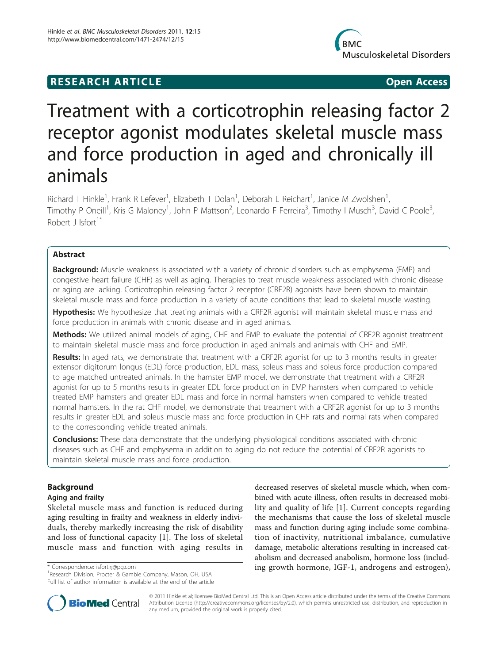## **RESEARCH ARTICLE Example 2018 12:00 Open Access**



# Treatment with a corticotrophin releasing factor 2 receptor agonist modulates skeletal muscle mass and force production in aged and chronically ill animals

Richard T Hinkle<sup>1</sup>, Frank R Lefever<sup>1</sup>, Elizabeth T Dolan<sup>1</sup>, Deborah L Reichart<sup>1</sup>, Janice M Zwolshen<sup>1</sup> , Timothy P Oneill<sup>1</sup>, Kris G Maloney<sup>1</sup>, John P Mattson<sup>2</sup>, Leonardo F Ferreira<sup>3</sup>, Timothy I Musch<sup>3</sup>, David C Poole<sup>3</sup> , Robert J Isfort<sup>1\*</sup>

## Abstract

**Background:** Muscle weakness is associated with a variety of chronic disorders such as emphysema (EMP) and congestive heart failure (CHF) as well as aging. Therapies to treat muscle weakness associated with chronic disease or aging are lacking. Corticotrophin releasing factor 2 receptor (CRF2R) agonists have been shown to maintain skeletal muscle mass and force production in a variety of acute conditions that lead to skeletal muscle wasting.

Hypothesis: We hypothesize that treating animals with a CRF2R agonist will maintain skeletal muscle mass and force production in animals with chronic disease and in aged animals.

Methods: We utilized animal models of aging, CHF and EMP to evaluate the potential of CRF2R agonist treatment to maintain skeletal muscle mass and force production in aged animals and animals with CHF and EMP.

Results: In aged rats, we demonstrate that treatment with a CRF2R agonist for up to 3 months results in greater extensor digitorum longus (EDL) force production, EDL mass, soleus mass and soleus force production compared to age matched untreated animals. In the hamster EMP model, we demonstrate that treatment with a CRF2R agonist for up to 5 months results in greater EDL force production in EMP hamsters when compared to vehicle treated EMP hamsters and greater EDL mass and force in normal hamsters when compared to vehicle treated normal hamsters. In the rat CHF model, we demonstrate that treatment with a CRF2R agonist for up to 3 months results in greater EDL and soleus muscle mass and force production in CHF rats and normal rats when compared to the corresponding vehicle treated animals.

**Conclusions:** These data demonstrate that the underlying physiological conditions associated with chronic diseases such as CHF and emphysema in addition to aging do not reduce the potential of CRF2R agonists to maintain skeletal muscle mass and force production.

## Background

## Aging and frailty

Skeletal muscle mass and function is reduced during aging resulting in frailty and weakness in elderly individuals, thereby markedly increasing the risk of disability and loss of functional capacity [[1\]](#page-9-0). The loss of skeletal muscle mass and function with aging results in

<sup>1</sup>Research Division, Procter & Gamble Company, Mason, OH, USA Full list of author information is available at the end of the article

decreased reserves of skeletal muscle which, when combined with acute illness, often results in decreased mobility and quality of life [[1\]](#page-9-0). Current concepts regarding the mechanisms that cause the loss of skeletal muscle mass and function during aging include some combination of inactivity, nutritional imbalance, cumulative damage, metabolic alterations resulting in increased catabolism and decreased anabolism, hormone loss (includ- \* Correspondence: [isfort.rj@pg.com](mailto:isfort.rj@pg.com) ing growth hormone, IGF-1, androgens and estrogen), <sup>1</sup>



© 2011 Hinkle et al; licensee BioMed Central Ltd. This is an Open Access article distributed under the terms of the Creative Commons Attribution License [\(http://creativecommons.org/licenses/by/2.0](http://creativecommons.org/licenses/by/2.0)), which permits unrestricted use, distribution, and reproduction in any medium, provided the original work is properly cited.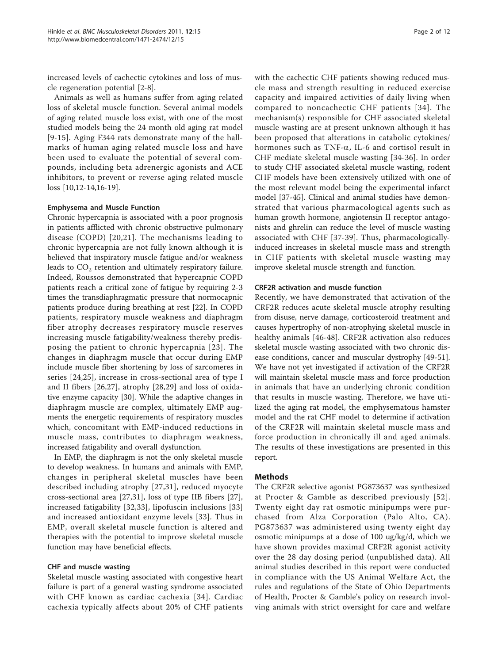increased levels of cachectic cytokines and loss of muscle regeneration potential [[2-8](#page-9-0)].

Animals as well as humans suffer from aging related loss of skeletal muscle function. Several animal models of aging related muscle loss exist, with one of the most studied models being the 24 month old aging rat model [[9](#page-9-0)-[15](#page-9-0)]. Aging F344 rats demonstrate many of the hallmarks of human aging related muscle loss and have been used to evaluate the potential of several compounds, including beta adrenergic agonists and ACE inhibitors, to prevent or reverse aging related muscle loss [\[10,12-14,16](#page-9-0)-[19](#page-9-0)].

#### Emphysema and Muscle Function

Chronic hypercapnia is associated with a poor prognosis in patients afflicted with chronic obstructive pulmonary disease (COPD) [[20,21\]](#page-9-0). The mechanisms leading to chronic hypercapnia are not fully known although it is believed that inspiratory muscle fatigue and/or weakness leads to  $CO<sub>2</sub>$  retention and ultimately respiratory failure. Indeed, Roussos demonstrated that hypercapnic COPD patients reach a critical zone of fatigue by requiring 2-3 times the transdiaphragmatic pressure that normocapnic patients produce during breathing at rest [\[22\]](#page-9-0). In COPD patients, respiratory muscle weakness and diaphragm fiber atrophy decreases respiratory muscle reserves increasing muscle fatigability/weakness thereby predisposing the patient to chronic hypercapnia [[23\]](#page-9-0). The changes in diaphragm muscle that occur during EMP include muscle fiber shortening by loss of sarcomeres in series [[24,25](#page-9-0)], increase in cross-sectional area of type I and II fibers [[26,27\]](#page-9-0), atrophy [[28,29](#page-9-0)] and loss of oxidative enzyme capacity [[30\]](#page-9-0). While the adaptive changes in diaphragm muscle are complex, ultimately EMP augments the energetic requirements of respiratory muscles which, concomitant with EMP-induced reductions in muscle mass, contributes to diaphragm weakness, increased fatigability and overall dysfunction.

In EMP, the diaphragm is not the only skeletal muscle to develop weakness. In humans and animals with EMP, changes in peripheral skeletal muscles have been described including atrophy [[27](#page-9-0),[31\]](#page-9-0), reduced myocyte cross-sectional area [[27,31](#page-9-0)], loss of type IIB fibers [[27](#page-9-0)], increased fatigability [[32](#page-9-0),[33\]](#page-9-0), lipofuscin inclusions [\[33](#page-9-0)] and increased antioxidant enzyme levels [[33\]](#page-9-0). Thus in EMP, overall skeletal muscle function is altered and therapies with the potential to improve skeletal muscle function may have beneficial effects.

#### CHF and muscle wasting

Skeletal muscle wasting associated with congestive heart failure is part of a general wasting syndrome associated with CHF known as cardiac cachexia [[34](#page-9-0)]. Cardiac cachexia typically affects about 20% of CHF patients with the cachectic CHF patients showing reduced muscle mass and strength resulting in reduced exercise capacity and impaired activities of daily living when compared to noncachectic CHF patients [[34\]](#page-9-0). The mechanism(s) responsible for CHF associated skeletal muscle wasting are at present unknown although it has been proposed that alterations in catabolic cytokines/ hormones such as TNF- $\alpha$ , IL-6 and cortisol result in CHF mediate skeletal muscle wasting [[34-36\]](#page-9-0). In order to study CHF associated skeletal muscle wasting, rodent CHF models have been extensively utilized with one of the most relevant model being the experimental infarct model [[37-](#page-9-0)[45](#page-10-0)]. Clinical and animal studies have demonstrated that various pharmacological agents such as human growth hormone, angiotensin II receptor antagonists and ghrelin can reduce the level of muscle wasting associated with CHF [[37-](#page-9-0)[39\]](#page-10-0). Thus, pharmacologicallyinduced increases in skeletal muscle mass and strength in CHF patients with skeletal muscle wasting may improve skeletal muscle strength and function.

## CRF2R activation and muscle function

Recently, we have demonstrated that activation of the CRF2R reduces acute skeletal muscle atrophy resulting from disuse, nerve damage, corticosteroid treatment and causes hypertrophy of non-atrophying skeletal muscle in healthy animals [\[46](#page-10-0)-[48](#page-10-0)]. CRF2R activation also reduces skeletal muscle wasting associated with two chronic disease conditions, cancer and muscular dystrophy [[49-51](#page-10-0)]. We have not yet investigated if activation of the CRF2R will maintain skeletal muscle mass and force production in animals that have an underlying chronic condition that results in muscle wasting. Therefore, we have utilized the aging rat model, the emphysematous hamster model and the rat CHF model to determine if activation of the CRF2R will maintain skeletal muscle mass and force production in chronically ill and aged animals. The results of these investigations are presented in this report.

## Methods

The CRF2R selective agonist PG873637 was synthesized at Procter & Gamble as described previously [[52\]](#page-10-0). Twenty eight day rat osmotic minipumps were purchased from Alza Corporation (Palo Alto, CA). PG873637 was administered using twenty eight day osmotic minipumps at a dose of 100 ug/kg/d, which we have shown provides maximal CRF2R agonist activity over the 28 day dosing period (unpublished data). All animal studies described in this report were conducted in compliance with the US Animal Welfare Act, the rules and regulations of the State of Ohio Departments of Health, Procter & Gamble's policy on research involving animals with strict oversight for care and welfare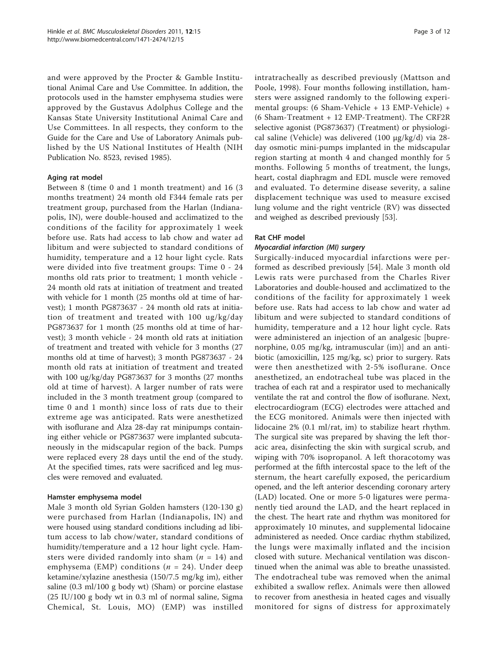and were approved by the Procter & Gamble Institutional Animal Care and Use Committee. In addition, the protocols used in the hamster emphysema studies were approved by the Gustavus Adolphus College and the Kansas State University Institutional Animal Care and Use Committees. In all respects, they conform to the Guide for the Care and Use of Laboratory Animals published by the US National Institutes of Health (NIH Publication No. 8523, revised 1985).

## Aging rat model

Between 8 (time 0 and 1 month treatment) and 16 (3 months treatment) 24 month old F344 female rats per treatment group, purchased from the Harlan (Indianapolis, IN), were double-housed and acclimatized to the conditions of the facility for approximately 1 week before use. Rats had access to lab chow and water ad libitum and were subjected to standard conditions of humidity, temperature and a 12 hour light cycle. Rats were divided into five treatment groups: Time 0 - 24 months old rats prior to treatment; 1 month vehicle - 24 month old rats at initiation of treatment and treated with vehicle for 1 month (25 months old at time of harvest); 1 month PG873637 - 24 month old rats at initiation of treatment and treated with 100 ug/kg/day PG873637 for 1 month (25 months old at time of harvest); 3 month vehicle - 24 month old rats at initiation of treatment and treated with vehicle for 3 months (27 months old at time of harvest); 3 month PG873637 - 24 month old rats at initiation of treatment and treated with 100 ug/kg/day PG873637 for 3 months (27 months old at time of harvest). A larger number of rats were included in the 3 month treatment group (compared to time 0 and 1 month) since loss of rats due to their extreme age was anticipated. Rats were anesthetized with isoflurane and Alza 28-day rat minipumps containing either vehicle or PG873637 were implanted subcutaneously in the midscapular region of the back. Pumps were replaced every 28 days until the end of the study. At the specified times, rats were sacrificed and leg muscles were removed and evaluated.

## Hamster emphysema model

Male 3 month old Syrian Golden hamsters (120-130 g) were purchased from Harlan (Indianapolis, IN) and were housed using standard conditions including ad libitum access to lab chow/water, standard conditions of humidity/temperature and a 12 hour light cycle. Hamsters were divided randomly into sham ( $n = 14$ ) and emphysema (EMP) conditions ( $n = 24$ ). Under deep ketamine/xylazine anesthesia (150/7.5 mg/kg im), either saline (0.3 ml/100 g body wt) (Sham) or porcine elastase (25 IU/100 g body wt in 0.3 ml of normal saline, Sigma Chemical, St. Louis, MO) (EMP) was instilled intratracheally as described previously (Mattson and Poole, 1998). Four months following instillation, hamsters were assigned randomly to the following experimental groups: (6 Sham-Vehicle + 13 EMP-Vehicle) + (6 Sham-Treatment + 12 EMP-Treatment). The CRF2R selective agonist (PG873637) (Treatment) or physiological saline (Vehicle) was delivered (100 μg/kg/d) via 28 day osmotic mini-pumps implanted in the midscapular region starting at month 4 and changed monthly for 5 months. Following 5 months of treatment, the lungs, heart, costal diaphragm and EDL muscle were removed and evaluated. To determine disease severity, a saline displacement technique was used to measure excised lung volume and the right ventricle (RV) was dissected and weighed as described previously [\[53](#page-10-0)].

## Rat CHF model

## Myocardial infarction (MI) surgery

Surgically-induced myocardial infarctions were performed as described previously [[54\]](#page-10-0). Male 3 month old Lewis rats were purchased from the Charles River Laboratories and double-housed and acclimatized to the conditions of the facility for approximately 1 week before use. Rats had access to lab chow and water ad libitum and were subjected to standard conditions of humidity, temperature and a 12 hour light cycle. Rats were administered an injection of an analgesic [buprenorphine, 0.05 mg/kg, intramuscular (im)] and an antibiotic (amoxicillin, 125 mg/kg, sc) prior to surgery. Rats were then anesthetized with 2-5% isoflurane. Once anesthetized, an endotracheal tube was placed in the trachea of each rat and a respirator used to mechanically ventilate the rat and control the flow of isoflurane. Next, electrocardiogram (ECG) electrodes were attached and the ECG monitored. Animals were then injected with lidocaine 2% (0.1 ml/rat, im) to stabilize heart rhythm. The surgical site was prepared by shaving the left thoracic area, disinfecting the skin with surgical scrub, and wiping with 70% isopropanol. A left thoracotomy was performed at the fifth intercostal space to the left of the sternum, the heart carefully exposed, the pericardium opened, and the left anterior descending coronary artery (LAD) located. One or more 5-0 ligatures were permanently tied around the LAD, and the heart replaced in the chest. The heart rate and rhythm was monitored for approximately 10 minutes, and supplemental lidocaine administered as needed. Once cardiac rhythm stabilized, the lungs were maximally inflated and the incision closed with suture. Mechanical ventilation was discontinued when the animal was able to breathe unassisted. The endotracheal tube was removed when the animal exhibited a swallow reflex. Animals were then allowed to recover from anesthesia in heated cages and visually monitored for signs of distress for approximately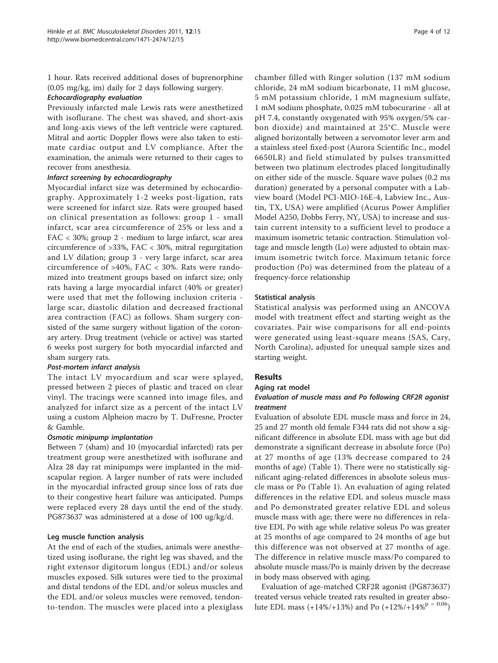1 hour. Rats received additional doses of buprenorphine (0.05 mg/kg, im) daily for 2 days following surgery.

## Echocardiography evaluation

Previously infarcted male Lewis rats were anesthetized with isoflurane. The chest was shaved, and short-axis and long-axis views of the left ventricle were captured. Mitral and aortic Doppler flows were also taken to estimate cardiac output and LV compliance. After the examination, the animals were returned to their cages to recover from anesthesia.

#### Infarct screening by echocardiography

Myocardial infarct size was determined by echocardiography. Approximately 1-2 weeks post-ligation, rats were screened for infarct size. Rats were grouped based on clinical presentation as follows: group 1 - small infarct, scar area circumference of 25% or less and a FAC < 30%; group 2 - medium to large infarct, scar area circumference of >33%, FAC < 30%, mitral regurgitation and LV dilation; group 3 - very large infarct, scar area circumference of >40%, FAC < 30%. Rats were randomized into treatment groups based on infarct size; only rats having a large myocardial infarct (40% or greater) were used that met the following inclusion criteria large scar, diastolic dilation and decreased fractional area contraction (FAC) as follows. Sham surgery consisted of the same surgery without ligation of the coronary artery. Drug treatment (vehicle or active) was started 6 weeks post surgery for both myocardial infarcted and sham surgery rats.

### Post-mortem infarct analysis

The intact LV myocardium and scar were splayed, pressed between 2 pieces of plastic and traced on clear vinyl. The tracings were scanned into image files, and analyzed for infarct size as a percent of the intact LV using a custom Alpheion macro by T. DuFresne, Procter & Gamble.

#### Osmotic minipump implantation

Between 7 (sham) and 10 (myocardial infarcted) rats per treatment group were anesthetized with isoflurane and Alza 28 day rat minipumps were implanted in the midscapular region. A larger number of rats were included in the myocardial infracted group since loss of rats due to their congestive heart failure was anticipated. Pumps were replaced every 28 days until the end of the study. PG873637 was administered at a dose of 100 ug/kg/d.

#### Leg muscle function analysis

At the end of each of the studies, animals were anesthetized using isoflurane, the right leg was shaved, and the right extensor digitorum longus (EDL) and/or soleus muscles exposed. Silk sutures were tied to the proximal and distal tendons of the EDL and/or soleus muscles and the EDL and/or soleus muscles were removed, tendonto-tendon. The muscles were placed into a plexiglass chamber filled with Ringer solution (137 mM sodium chloride, 24 mM sodium bicarbonate, 11 mM glucose, 5 mM potassium chloride, 1 mM magnesium sulfate, 1 mM sodium phosphate, 0.025 mM tubocurarine - all at pH 7.4, constantly oxygenated with 95% oxygen/5% carbon dioxide) and maintained at 25°C. Muscle were aligned horizontally between a servomotor lever arm and a stainless steel fixed-post (Aurora Scientific Inc., model 6650LR) and field stimulated by pulses transmitted between two platinum electrodes placed longitudinally on either side of the muscle. Square wave pulses (0.2 ms duration) generated by a personal computer with a Labview board (Model PCI-MIO-16E-4, Labview Inc., Austin, TX, USA) were amplified (Acurus Power Amplifier Model A250, Dobbs Ferry, NY, USA) to increase and sustain current intensity to a sufficient level to produce a maximum isometric tetanic contraction. Stimulation voltage and muscle length (Lo) were adjusted to obtain maximum isometric twitch force. Maximum tetanic force production (Po) was determined from the plateau of a frequency-force relationship

#### Statistical analysis

Statistical analysis was performed using an ANCOVA model with treatment effect and starting weight as the covariates. Pair wise comparisons for all end-points were generated using least-square means (SAS, Cary, North Carolina), adjusted for unequal sample sizes and starting weight.

#### Results

#### Aging rat model

## Evaluation of muscle mass and Po following CRF2R agonist treatment

Evaluation of absolute EDL muscle mass and force in 24, 25 and 27 month old female F344 rats did not show a significant difference in absolute EDL mass with age but did demonstrate a significant decrease in absolute force (Po) at 27 months of age (13% decrease compared to 24 months of age) (Table [1\)](#page-4-0). There were no statistically significant aging-related differences in absolute soleus muscle mass or Po (Table [1\)](#page-4-0). An evaluation of aging related differences in the relative EDL and soleus muscle mass and Po demonstrated greater relative EDL and soleus muscle mass with age; there were no differences in relative EDL Po with age while relative soleus Po was greater at 25 months of age compared to 24 months of age but this difference was not observed at 27 months of age. The difference in relative muscle mass/Po compared to absolute muscle mass/Po is mainly driven by the decrease in body mass observed with aging.

Evaluation of age-matched CRF2R agonist (PG873637) treated versus vehicle treated rats resulted in greater absolute EDL mass (+14%/+13%) and Po (+12%/+14%<sup>p = 0.06</sup>)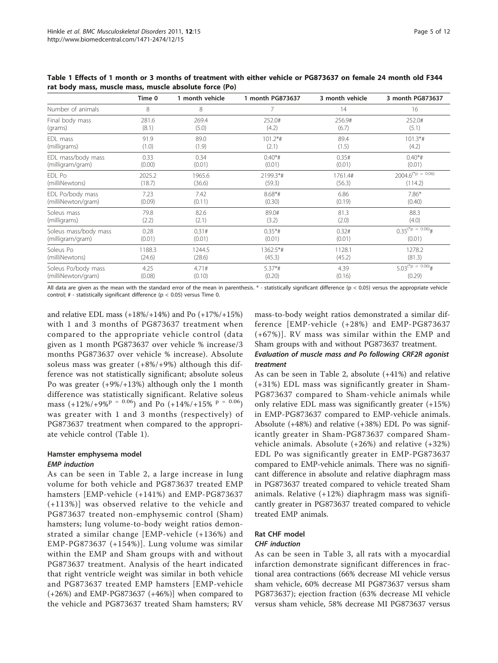|                       | Time 0 | 1 month vehicle | 1 month PG873637 | 3 month vehicle | 3 month PG873637               |
|-----------------------|--------|-----------------|------------------|-----------------|--------------------------------|
| Number of animals     | 8      | 8               | 7                | 14              | 16                             |
| Final body mass       | 281.6  | 269.4           | 252.0#           | 256.9#          | 252.0#                         |
| (grams)               | (8.1)  | (5.0)           | (4.2)            | (6.7)           | (5.1)                          |
| EDL mass              | 91.9   | 89.0            | $101.2*$ #       | 89.4            | $101.3*$ #                     |
| (milligrams)          | (1.0)  | (1.9)           | (2.1)            | (1.5)           | (4.2)                          |
| EDL mass/body mass    | 0.33   | 0.34            | $0.40*$ #        | 0.35#           | $0.40*$ #                      |
| (milligram/gram)      | (0.00) | (0.01)          | (0.01)           | (0.01)          | (0.01)                         |
| FDI Po                | 2025.2 | 1965.6          | 2199.3*#         | 1761.4#         | $2004.6^{(*p = 0.06)}$         |
| (milliNewtons)        | (18.7) | (36.6)          | (59.3)           | (56.3)          | (114.2)                        |
| EDL Po/body mass      | 7.23   | 7.42            | $8.68*$ #        | 6.86            | $7.86*$                        |
| (milliNewton/gram)    | (0.09) | (0.11)          | (0.30)           | (0.19)          | (0.40)                         |
| Soleus mass           | 79.8   | 82.6            | 89.0#            | 81.3            | 88.3                           |
| (milligrams)          | (2.2)  | (2.1)           | (3.2)            | (2.0)           | (4.0)                          |
| Soleus mass/body mass | 0.28   | 0.31#           | $0.35*$ #        | 0.32#           | $0.35^{(*)} = 0.06\frac{1}{4}$ |
| (milligram/gram)      | (0.01) | (0.01)          | (0.01)           | (0.01)          | (0.01)                         |
| Soleus Po             | 1188.3 | 1244.5          | 1362.5*#         | 1128.1          | 1278.2                         |
| (milliNewtons)        | (24.6) | (28.6)          | (45.3)           | (45.2)          | (81.3)                         |
| Soleus Po/body mass   | 4.25   | 4.71#           | $5.37**$         | 4.39            | $5.03^{(*)} = 0.06\frac{1}{4}$ |
| (milliNewton/gram)    | (0.08) | (0.10)          | (0.20)           | (0.16)          | (0.29)                         |

<span id="page-4-0"></span>Table 1 Effects of 1 month or 3 months of treatment with either vehicle or PG873637 on female 24 month old F344 rat body mass, muscle mass, muscle absolute force (Po)

All data are given as the mean with the standard error of the mean in parenthesis. \* - statistically significant difference (p < 0.05) versus the appropriate vehicle control; # - statistically significant difference ( $p < 0.05$ ) versus Time 0.

and relative EDL mass  $(+18\%/+14\%)$  and Po  $(+17\%/+15\%)$ with 1 and 3 months of PG873637 treatment when compared to the appropriate vehicle control (data given as 1 month PG873637 over vehicle % increase/3 months PG873637 over vehicle % increase). Absolute soleus mass was greater (+8%/+9%) although this difference was not statistically significant; absolute soleus Po was greater (+9%/+13%) although only the 1 month difference was statistically significant. Relative soleus mass  $(+12\%/+9\%)^p = 0.06$  and Po  $(+14\%/+15\%)^p = 0.06$ was greater with 1 and 3 months (respectively) of PG873637 treatment when compared to the appropriate vehicle control (Table 1).

## Hamster emphysema model EMP induction

As can be seen in Table [2,](#page-5-0) a large increase in lung volume for both vehicle and PG873637 treated EMP hamsters [EMP-vehicle (+141%) and EMP-PG873637 (+113%)] was observed relative to the vehicle and PG873637 treated non-emphysemic control (Sham) hamsters; lung volume-to-body weight ratios demonstrated a similar change [EMP-vehicle (+136%) and EMP-PG873637 (+154%)]. Lung volume was similar within the EMP and Sham groups with and without PG873637 treatment. Analysis of the heart indicated that right ventricle weight was similar in both vehicle and PG873637 treated EMP hamsters [EMP-vehicle (+26%) and EMP-PG873637 (+46%)] when compared to the vehicle and PG873637 treated Sham hamsters; RV mass-to-body weight ratios demonstrated a similar difference [EMP-vehicle (+28%) and EMP-PG873637 (+67%)]. RV mass was similar within the EMP and Sham groups with and without PG873637 treatment.

## Evaluation of muscle mass and Po following CRF2R agonist treatment

As can be seen in Table [2](#page-5-0), absolute (+41%) and relative (+31%) EDL mass was significantly greater in Sham-PG873637 compared to Sham-vehicle animals while only relative EDL mass was significantly greater (+15%) in EMP-PG873637 compared to EMP-vehicle animals. Absolute (+48%) and relative (+38%) EDL Po was significantly greater in Sham-PG873637 compared Shamvehicle animals. Absolute (+26%) and relative (+32%) EDL Po was significantly greater in EMP-PG873637 compared to EMP-vehicle animals. There was no significant difference in absolute and relative diaphragm mass in PG873637 treated compared to vehicle treated Sham animals. Relative (+12%) diaphragm mass was significantly greater in PG873637 treated compared to vehicle treated EMP animals.

## Rat CHF model

## CHF induction

As can be seen in Table [3](#page-6-0), all rats with a myocardial infarction demonstrate significant differences in fractional area contractions (66% decrease MI vehicle versus sham vehicle, 60% decrease MI PG873637 versus sham PG873637); ejection fraction (63% decrease MI vehicle versus sham vehicle, 58% decrease MI PG873637 versus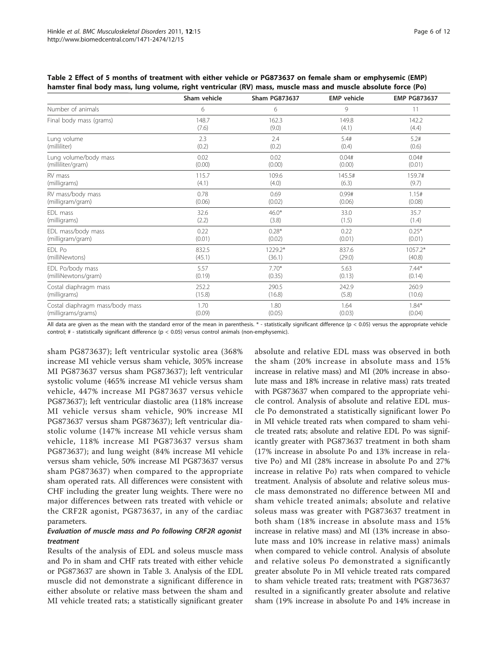|                                 | Sham vehicle | <b>Sham PG873637</b> | <b>EMP</b> vehicle | <b>EMP PG873637</b> |
|---------------------------------|--------------|----------------------|--------------------|---------------------|
| Number of animals               | 6            | 6                    | 9                  | 11                  |
| Final body mass (grams)         | 148.7        | 162.3                | 149.8              | 142.2               |
|                                 | (7.6)        | (9.0)                | (4.1)              | (4.4)               |
| Lung volume                     | 2.3          | 2.4                  | 5.4#               | 5.2#                |
| (milliliter)                    | (0.2)        | (0.2)                | (0.4)              | (0.6)               |
| Lung volume/body mass           | 0.02         | 0.02                 | 0.04#              | 0.04#               |
| (milliliter/gram)               | (0.00)       | (0.00)               | (0.00)             | (0.01)              |
| RV mass                         | 115.7        | 109.6                | 145.5#             | 159.7#              |
| (milligrams)                    | (4.1)        | (4.0)                | (6.3)              | (9.7)               |
| RV mass/body mass               | 0.78         | 0.69                 | 0.99#              | 1.15#               |
| (milligram/gram)                | (0.06)       | (0.02)               | (0.06)             | (0.08)              |
| EDL mass                        | 32.6         | $46.0*$              | 33.0               | 35.7                |
| (milligrams)                    | (2.2)        | (3.8)                | (1.5)              | (1.4)               |
| EDL mass/body mass              | 0.22         | $0.28*$              | 0.22               | $0.25*$             |
| (milligram/gram)                | (0.01)       | (0.02)               | (0.01)             | (0.01)              |
| EDL Po                          | 832.5        | 1229.2*              | 837.6              | 1057.2*             |
| (milliNewtons)                  | (45.1)       | (36.1)               | (29.0)             | (40.8)              |
| EDL Po/body mass                | 5.57         | $7.70*$              | 5.63               | $7.44*$             |
| (milliNewtons/gram)             | (0.19)       | (0.35)               | (0.13)             | (0.14)              |
| Costal diaphragm mass           | 252.2        | 290.5                | 242.9              | 260.9               |
| (milligrams)                    | (15.8)       | (16.8)               | (5.8)              | (10.6)              |
| Costal diaphragm mass/body mass | 1.70         | 1.80                 | 1.64               | $1.84*$             |
| (milligrams/grams)              | (0.09)       | (0.05)               | (0.03)             | (0.04)              |

<span id="page-5-0"></span>Table 2 Effect of 5 months of treatment with either vehicle or PG873637 on female sham or emphysemic (EMP) hamster final body mass, lung volume, right ventricular (RV) mass, muscle mass and muscle absolute force (Po)

All data are given as the mean with the standard error of the mean in parenthesis. \* - statistically significant difference (p < 0.05) versus the appropriate vehicle control; # - statistically significant difference (p < 0.05) versus control animals (non-emphysemic).

sham PG873637); left ventricular systolic area (368% increase MI vehicle versus sham vehicle, 305% increase MI PG873637 versus sham PG873637); left ventricular systolic volume (465% increase MI vehicle versus sham vehicle, 447% increase MI PG873637 versus vehicle PG873637); left ventricular diastolic area (118% increase MI vehicle versus sham vehicle, 90% increase MI PG873637 versus sham PG873637); left ventricular diastolic volume (147% increase MI vehicle versus sham vehicle, 118% increase MI PG873637 versus sham PG873637); and lung weight (84% increase MI vehicle versus sham vehicle, 50% increase MI PG873637 versus sham PG873637) when compared to the appropriate sham operated rats. All differences were consistent with CHF including the greater lung weights. There were no major differences between rats treated with vehicle or the CRF2R agonist, PG873637, in any of the cardiac parameters.

## Evaluation of muscle mass and Po following CRF2R agonist treatment

Results of the analysis of EDL and soleus muscle mass and Po in sham and CHF rats treated with either vehicle or PG873637 are shown in Table [3](#page-6-0). Analysis of the EDL muscle did not demonstrate a significant difference in either absolute or relative mass between the sham and MI vehicle treated rats; a statistically significant greater absolute and relative EDL mass was observed in both the sham (20% increase in absolute mass and 15% increase in relative mass) and MI (20% increase in absolute mass and 18% increase in relative mass) rats treated with PG873637 when compared to the appropriate vehicle control. Analysis of absolute and relative EDL muscle Po demonstrated a statistically significant lower Po in MI vehicle treated rats when compared to sham vehicle treated rats; absolute and relative EDL Po was significantly greater with PG873637 treatment in both sham (17% increase in absolute Po and 13% increase in relative Po) and MI (28% increase in absolute Po and 27% increase in relative Po) rats when compared to vehicle treatment. Analysis of absolute and relative soleus muscle mass demonstrated no difference between MI and sham vehicle treated animals; absolute and relative soleus mass was greater with PG873637 treatment in both sham (18% increase in absolute mass and 15% increase in relative mass) and MI (13% increase in absolute mass and 10% increase in relative mass) animals when compared to vehicle control. Analysis of absolute and relative soleus Po demonstrated a significantly greater absolute Po in MI vehicle treated rats compared to sham vehicle treated rats; treatment with PG873637 resulted in a significantly greater absolute and relative sham (19% increase in absolute Po and 14% increase in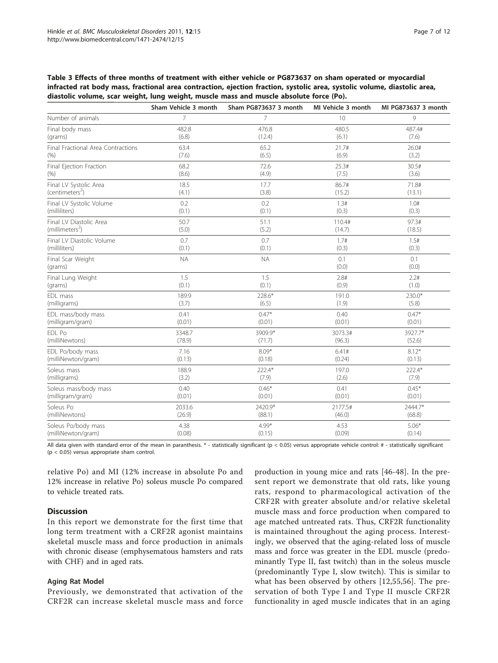<span id="page-6-0"></span>Table 3 Effects of three months of treatment with either vehicle or PG873637 on sham operated or myocardial infracted rat body mass, fractional area contraction, ejection fraction, systolic area, systolic volume, diastolic area, diastolic volume, scar weight, lung weight, muscle mass and muscle absolute force (Po).

|                                    | Sham Vehicle 3 month | Sham PG873637 3 month | MI Vehicle 3 month | MI PG873637 3 month |
|------------------------------------|----------------------|-----------------------|--------------------|---------------------|
| Number of animals                  | 7                    | $\overline{7}$        | 10                 | 9                   |
| Final body mass                    | 482.8                | 476.8                 | 480.5              | 487.4#              |
| (grams)                            | (6.8)                | (12.4)                | (6.1)              | (7.6)               |
| Final Fractional Area Contractions | 63.4                 | 65.2                  | 21.7#              | 26.0#               |
| (% )                               | (7.6)                | (6.5)                 | (6.9)              | (3.2)               |
| Final Ejection Fraction            | 68.2                 | 72.6                  | 25.3#              | 30.5#               |
| (% )                               | (8.6)                | (4.9)                 | (7.5)              | (3.6)               |
| Final LV Systolic Area             | 18.5                 | 17.7                  | 86.7#              | 71.8#               |
| (centimeters <sup>2</sup> )        | (4.1)                | (3.8)                 | (15.2)             | (13.1)              |
| Final LV Systolic Volume           | 0.2                  | 0.2                   | 1.3#               | 1.0#                |
| (milliliters)                      | (0.1)                | (0.1)                 | (0.3)              | (0.3)               |
| Final LV Diastolic Area            | 50.7                 | 51.1                  | 110.4#             | 97.3#               |
| (millimeters <sup>2</sup> )        | (5.0)                | (5.2)                 | (14.7)             | (18.5)              |
| Final LV Diastolic Volume          | 0.7                  | 0.7                   | 1.7#               | 1.5#                |
| (milliliters)                      | (0.1)                | (0.1)                 | (0.3)              | (0.3)               |
| Final Scar Weight<br>(grams)       | <b>NA</b>            | <b>NA</b>             | 0.1<br>(0.0)       | 0.1<br>(0.0)        |
| Final Lung Weight                  | 1.5                  | 1.5                   | 2.8#               | 2.2#                |
| (grams)                            | (0.1)                | (0.1)                 | (0.9)              | (1.0)               |
| EDL mass                           | 189.9                | 228.6*                | 191.0              | 230.0*              |
| (milligrams)                       | (3.7)                | (6.5)                 | (1.9)              | (5.8)               |
| EDL mass/body mass                 | 0.41                 | $0.47*$               | 0.40               | $0.47*$             |
| (milligram/gram)                   | (0.01)               | (0.01)                | (0.01)             | (0.01)              |
| EDL Po                             | 3348.7               | 3909.9*               | 3073.3#            | 3927.7*             |
| (milliNewtons)                     | (78.9)               | (71.7)                | (96.3)             | (52.6)              |
| EDL Po/body mass                   | 7.16                 | $8.09*$               | 6.41#              | $8.12*$             |
| (milliNewton/gram)                 | (0.13)               | (0.18)                | (0.24)             | (0.13)              |
| Soleus mass                        | 188.9                | 222.4*                | 197.0              | 222.4*              |
| (milligrams)                       | (3.2)                | (7.9)                 | (2.6)              | (7.9)               |
| Soleus mass/body mass              | 0.40                 | $0.46*$               | 0.41               | $0.45*$             |
| (milligram/gram)                   | (0.01)               | (0.01)                | (0.01)             | (0.01)              |
| Soleus Po                          | 2033.6               | 2420.9*               | 2177.5#            | 2444.7*             |
| (milliNewtons)                     | (26.9)               | (88.1)                | (46.0)             | (68.8)              |
| Soleus Po/body mass                | 4.38                 | $4.99*$               | 4.53               | $5.06*$             |
| (milliNewton/gram)                 | (0.08)               | (0.15)                | (0.09)             | (0.14)              |

All data given with standard error of the mean in paranthesis. \* - statistically significant (p < 0.05) versus appropriate vehicle control: # - statistically significant (p < 0.05) versus appropriate sham control.

relative Po) and MI (12% increase in absolute Po and 12% increase in relative Po) soleus muscle Po compared to vehicle treated rats.

### Discussion

In this report we demonstrate for the first time that long term treatment with a CRF2R agonist maintains skeletal muscle mass and force production in animals with chronic disease (emphysematous hamsters and rats with CHF) and in aged rats.

#### Aging Rat Model

Previously, we demonstrated that activation of the CRF2R can increase skeletal muscle mass and force

production in young mice and rats [[46-48](#page-10-0)]. In the present report we demonstrate that old rats, like young rats, respond to pharmacological activation of the CRF2R with greater absolute and/or relative skeletal muscle mass and force production when compared to age matched untreated rats. Thus, CRF2R functionality is maintained throughout the aging process. Interestingly, we observed that the aging-related loss of muscle mass and force was greater in the EDL muscle (predominantly Type II, fast twitch) than in the soleus muscle (predominantly Type I, slow twitch). This is similar to what has been observed by others [[12](#page-9-0)[,55](#page-10-0),[56\]](#page-10-0). The preservation of both Type I and Type II muscle CRF2R functionality in aged muscle indicates that in an aging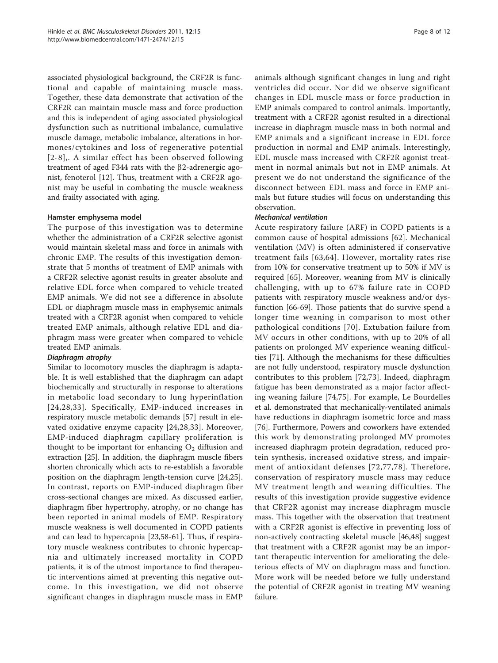associated physiological background, the CRF2R is functional and capable of maintaining muscle mass. Together, these data demonstrate that activation of the CRF2R can maintain muscle mass and force production and this is independent of aging associated physiological dysfunction such as nutritional imbalance, cumulative muscle damage, metabolic imbalance, alterations in hormones/cytokines and loss of regenerative potential [[2-8](#page-9-0)],. A similar effect has been observed following treatment of aged F344 rats with the  $\beta$ 2-adrenergic agonist, fenoterol [\[12](#page-9-0)]. Thus, treatment with a CRF2R agonist may be useful in combating the muscle weakness and frailty associated with aging.

#### Hamster emphysema model

The purpose of this investigation was to determine whether the administration of a CRF2R selective agonist would maintain skeletal mass and force in animals with chronic EMP. The results of this investigation demonstrate that 5 months of treatment of EMP animals with a CRF2R selective agonist results in greater absolute and relative EDL force when compared to vehicle treated EMP animals. We did not see a difference in absolute EDL or diaphragm muscle mass in emphysemic animals treated with a CRF2R agonist when compared to vehicle treated EMP animals, although relative EDL and diaphragm mass were greater when compared to vehicle treated EMP animals.

## Diaphragm atrophy

Similar to locomotory muscles the diaphragm is adaptable. It is well established that the diaphragm can adapt biochemically and structurally in response to alterations in metabolic load secondary to lung hyperinflation [[24](#page-9-0),[28](#page-9-0),[33\]](#page-9-0). Specifically, EMP-induced increases in respiratory muscle metabolic demands [[57\]](#page-10-0) result in elevated oxidative enzyme capacity [\[24](#page-9-0),[28,33\]](#page-9-0). Moreover, EMP-induced diaphragm capillary proliferation is thought to be important for enhancing  $O_2$  diffusion and extraction [\[25\]](#page-9-0). In addition, the diaphragm muscle fibers shorten chronically which acts to re-establish a favorable position on the diaphragm length-tension curve [\[24,25](#page-9-0)]. In contrast, reports on EMP-induced diaphragm fiber cross-sectional changes are mixed. As discussed earlier, diaphragm fiber hypertrophy, atrophy, or no change has been reported in animal models of EMP. Respiratory muscle weakness is well documented in COPD patients and can lead to hypercapnia [\[23,](#page-9-0)[58-61](#page-10-0)]. Thus, if respiratory muscle weakness contributes to chronic hypercapnia and ultimately increased mortality in COPD patients, it is of the utmost importance to find therapeutic interventions aimed at preventing this negative outcome. In this investigation, we did not observe significant changes in diaphragm muscle mass in EMP animals although significant changes in lung and right ventricles did occur. Nor did we observe significant changes in EDL muscle mass or force production in EMP animals compared to control animals. Importantly, treatment with a CRF2R agonist resulted in a directional increase in diaphragm muscle mass in both normal and EMP animals and a significant increase in EDL force production in normal and EMP animals. Interestingly, EDL muscle mass increased with CRF2R agonist treatment in normal animals but not in EMP animals. At present we do not understand the significance of the disconnect between EDL mass and force in EMP animals but future studies will focus on understanding this observation.

## Mechanical ventilation

Acute respiratory failure (ARF) in COPD patients is a common cause of hospital admissions [[62\]](#page-10-0). Mechanical ventilation (MV) is often administered if conservative treatment fails [\[63,64\]](#page-10-0). However, mortality rates rise from 10% for conservative treatment up to 50% if MV is required [\[65](#page-10-0)]. Moreover, weaning from MV is clinically challenging, with up to 67% failure rate in COPD patients with respiratory muscle weakness and/or dysfunction [[66](#page-10-0)-[69\]](#page-10-0). Those patients that do survive spend a longer time weaning in comparison to most other pathological conditions [[70](#page-10-0)]. Extubation failure from MV occurs in other conditions, with up to 20% of all patients on prolonged MV experience weaning difficulties [\[71](#page-10-0)]. Although the mechanisms for these difficulties are not fully understood, respiratory muscle dysfunction contributes to this problem [[72](#page-10-0),[73\]](#page-10-0). Indeed, diaphragm fatigue has been demonstrated as a major factor affecting weaning failure [\[74,75](#page-10-0)]. For example, Le Bourdelles et al. demonstrated that mechanically-ventilated animals have reductions in diaphragm isometric force and mass [[76\]](#page-10-0). Furthermore, Powers and coworkers have extended this work by demonstrating prolonged MV promotes increased diaphragm protein degradation, reduced protein synthesis, increased oxidative stress, and impairment of antioxidant defenses [[72](#page-10-0),[77,78\]](#page-10-0). Therefore, conservation of respiratory muscle mass may reduce MV treatment length and weaning difficulties. The results of this investigation provide suggestive evidence that CRF2R agonist may increase diaphragm muscle mass. This together with the observation that treatment with a CRF2R agonist is effective in preventing loss of non-actively contracting skeletal muscle [[46](#page-10-0),[48\]](#page-10-0) suggest that treatment with a CRF2R agonist may be an important therapeutic intervention for ameliorating the deleterious effects of MV on diaphragm mass and function. More work will be needed before we fully understand the potential of CRF2R agonist in treating MV weaning failure.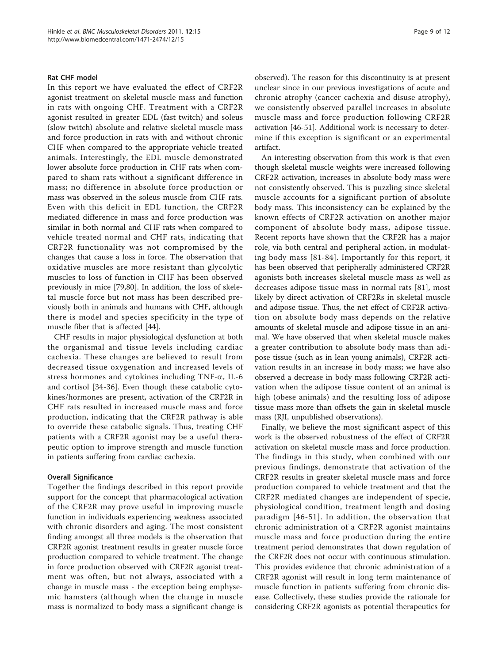#### Rat CHF model

In this report we have evaluated the effect of CRF2R agonist treatment on skeletal muscle mass and function in rats with ongoing CHF. Treatment with a CRF2R agonist resulted in greater EDL (fast twitch) and soleus (slow twitch) absolute and relative skeletal muscle mass and force production in rats with and without chronic CHF when compared to the appropriate vehicle treated animals. Interestingly, the EDL muscle demonstrated lower absolute force production in CHF rats when compared to sham rats without a significant difference in mass; no difference in absolute force production or mass was observed in the soleus muscle from CHF rats. Even with this deficit in EDL function, the CRF2R mediated difference in mass and force production was similar in both normal and CHF rats when compared to vehicle treated normal and CHF rats, indicating that CRF2R functionality was not compromised by the changes that cause a loss in force. The observation that oxidative muscles are more resistant than glycolytic muscles to loss of function in CHF has been observed previously in mice [[79,](#page-10-0)[80\]](#page-11-0). In addition, the loss of skeletal muscle force but not mass has been described previously both in animals and humans with CHF, although there is model and species specificity in the type of muscle fiber that is affected [[44\]](#page-10-0).

CHF results in major physiological dysfunction at both the organismal and tissue levels including cardiac cachexia. These changes are believed to result from decreased tissue oxygenation and increased levels of stress hormones and cytokines including  $TNF-\alpha$ , IL-6 and cortisol [[34-36\]](#page-9-0). Even though these catabolic cytokines/hormones are present, activation of the CRF2R in CHF rats resulted in increased muscle mass and force production, indicating that the CRF2R pathway is able to override these catabolic signals. Thus, treating CHF patients with a CRF2R agonist may be a useful therapeutic option to improve strength and muscle function in patients suffering from cardiac cachexia.

#### Overall Significance

Together the findings described in this report provide support for the concept that pharmacological activation of the CRF2R may prove useful in improving muscle function in individuals experiencing weakness associated with chronic disorders and aging. The most consistent finding amongst all three models is the observation that CRF2R agonist treatment results in greater muscle force production compared to vehicle treatment. The change in force production observed with CRF2R agonist treatment was often, but not always, associated with a change in muscle mass - the exception being emphysemic hamsters (although when the change in muscle mass is normalized to body mass a significant change is

observed). The reason for this discontinuity is at present unclear since in our previous investigations of acute and chronic atrophy (cancer cachexia and disuse atrophy), we consistently observed parallel increases in absolute muscle mass and force production following CRF2R activation [[46](#page-10-0)-[51\]](#page-10-0). Additional work is necessary to determine if this exception is significant or an experimental artifact.

An interesting observation from this work is that even though skeletal muscle weights were increased following CRF2R activation, increases in absolute body mass were not consistently observed. This is puzzling since skeletal muscle accounts for a significant portion of absolute body mass. This inconsistency can be explained by the known effects of CRF2R activation on another major component of absolute body mass, adipose tissue. Recent reports have shown that the CRF2R has a major role, via both central and peripheral action, in modulating body mass [[81-84](#page-11-0)]. Importantly for this report, it has been observed that peripherally administered CRF2R agonists both increases skeletal muscle mass as well as decreases adipose tissue mass in normal rats [\[81](#page-11-0)], most likely by direct activation of CRF2Rs in skeletal muscle and adipose tissue. Thus, the net effect of CRF2R activation on absolute body mass depends on the relative amounts of skeletal muscle and adipose tissue in an animal. We have observed that when skeletal muscle makes a greater contribution to absolute body mass than adipose tissue (such as in lean young animals), CRF2R activation results in an increase in body mass; we have also observed a decrease in body mass following CRF2R activation when the adipose tissue content of an animal is high (obese animals) and the resulting loss of adipose tissue mass more than offsets the gain in skeletal muscle mass (RJI, unpublished observations).

Finally, we believe the most significant aspect of this work is the observed robustness of the effect of CRF2R activation on skeletal muscle mass and force production. The findings in this study, when combined with our previous findings, demonstrate that activation of the CRF2R results in greater skeletal muscle mass and force production compared to vehicle treatment and that the CRF2R mediated changes are independent of specie, physiological condition, treatment length and dosing paradigm [[46-51\]](#page-10-0). In addition, the observation that chronic administration of a CRF2R agonist maintains muscle mass and force production during the entire treatment period demonstrates that down regulation of the CRF2R does not occur with continuous stimulation. This provides evidence that chronic administration of a CRF2R agonist will result in long term maintenance of muscle function in patients suffering from chronic disease. Collectively, these studies provide the rationale for considering CRF2R agonists as potential therapeutics for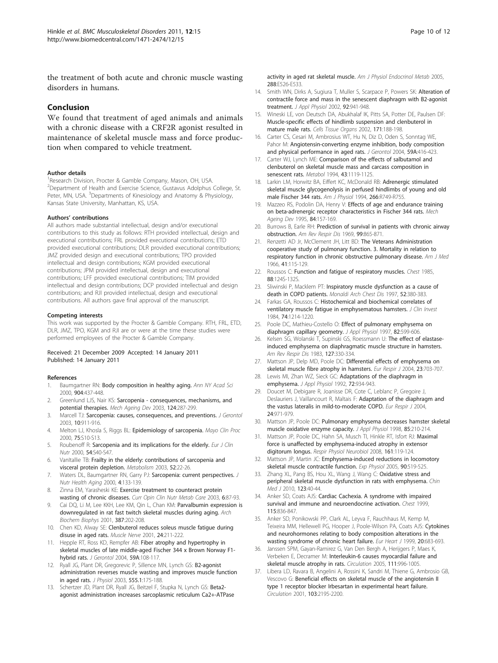<span id="page-9-0"></span>the treatment of both acute and chronic muscle wasting disorders in humans.

## Conclusion

We found that treatment of aged animals and animals with a chronic disease with a CRF2R agonist resulted in maintenance of skeletal muscle mass and force production when compared to vehicle treatment.

#### Author details

<sup>1</sup> Research Division, Procter & Gamble Company, Mason, OH, USA. <sup>2</sup>Department of Health and Exercise Science, Gustavus Adolphus College, St. Peter, MN, USA. <sup>3</sup>Departments of Kinesiology and Anatomy & Physiology, Kansas State University, Manhattan, KS, USA.

#### Authors' contributions

All authors made substantial intellectual, design and/or executional contributions to this study as follows: RTH provided intellectual, design and executional contributions; FRL provided executional contributions; ETD provided executional contributions; DLR provided executional contributions; JMZ provided design and executional contributions; TPO provided intellectual and design contributions; KGM provided executional contributions; JPM provided intellectual, design and executional contributions; LFF provided executional contributions; TIM provided intellectual and design contributions; DCP provided intellectual and design contributions; and RJI provided intellectual, design and executional contributions. All authors gave final approval of the manuscript.

#### Competing interests

This work was supported by the Procter & Gamble Company. RTH, FRL, ETD, DLR, JMZ, TPO, KGM and RJI are or were at the time these studies were performed employees of the Procter & Gamble Company.

#### Received: 21 December 2009 Accepted: 14 January 2011 Published: 14 January 2011

#### References

- 1. Baumgartner RN: [Body composition in healthy aging.](http://www.ncbi.nlm.nih.gov/pubmed/10865787?dopt=Abstract) Ann NY Acad Sci 2000, 904:437-448.
- 2. Greenlund LJS, Nair KS: [Sarcopenia consequences, mechanisms, and](http://www.ncbi.nlm.nih.gov/pubmed/12663126?dopt=Abstract) [potential therapies.](http://www.ncbi.nlm.nih.gov/pubmed/12663126?dopt=Abstract) Mech Ageing Dev 2003, 124:287-299.
- 3. Marcell TJ: Sarcopenia: causes, consequences, and preventions. J Gerontol 2003, 10:911-916.
- 4. Melton LJ, Khosla S, Riggs BL: [Epidemiology of sarcopenia.](http://www.ncbi.nlm.nih.gov/pubmed/10959209?dopt=Abstract) Mayo Clin Proc 2000, 75:S10-S13.
- 5. Roubenoff R: [Sarcopenia and its implications for the elderly.](http://www.ncbi.nlm.nih.gov/pubmed/11041074?dopt=Abstract) Eur J Clin Nutr 2000, 54:S40-S47.
- 6. VanItallie TB: [Frailty in the elderly: contributions of sarcopenia and](http://www.ncbi.nlm.nih.gov/pubmed/14577059?dopt=Abstract) [visceral protein depletion.](http://www.ncbi.nlm.nih.gov/pubmed/14577059?dopt=Abstract) Metabolism 2003, 52:22-26.
- 7. Waters DL, Baumgartner RN, Garry PJ: [Sarcopenia: current perspectives.](http://www.ncbi.nlm.nih.gov/pubmed/10936899?dopt=Abstract) J Nutr Health Aging 2000, 4:133-139.
- 8. Zinna EM, Yarasheski KE: [Exercise treatment to counteract protein](http://www.ncbi.nlm.nih.gov/pubmed/12496685?dopt=Abstract) [wasting of chronic diseases.](http://www.ncbi.nlm.nih.gov/pubmed/12496685?dopt=Abstract) Curr Opin Clin Nutr Metab Care 2003, 6:87-93.
- 9. Cai DQ, Li M, Lee KKH, Lee KM, Qin L, Chan KM: [Parvalbumin expression is](http://www.ncbi.nlm.nih.gov/pubmed/11370842?dopt=Abstract) [downregulated in rat fast twitch skeletal muscles during aging.](http://www.ncbi.nlm.nih.gov/pubmed/11370842?dopt=Abstract) Arch Biochem Biophys 2001, 387:202-208.
- 10. Chen KD, Alway SE: [Clenbuterol reduces soleus muscle fatigue during](http://www.ncbi.nlm.nih.gov/pubmed/11180204?dopt=Abstract) [disuse in aged rats.](http://www.ncbi.nlm.nih.gov/pubmed/11180204?dopt=Abstract) Muscle Nerve 2001, 24:211-222.
- 11. Hepple RT, Ross KD, Rempfer AB: Fiber atrophy and hypertrophy in skeletal muscles of late middle-aged Fischer 344 x Brown Norway F1 hybrid rats. J Gerontol 2004, 59A:108-117.
- 12. Ryall JG, Plant DR, Gregorevic P, Sillence MN, Lynch GS: B2-agonist administration reverses muscle wasting and improves muscle function in aged rats. J Physiol 2003, 555.1:175-188.
- Schertzer JD, Plant DR, Ryall JG, Beitzel F, Stupka N, Lynch GS: [Beta2](http://www.ncbi.nlm.nih.gov/pubmed/15479951?dopt=Abstract) [agonist administration increases sarcoplasmic reticulum Ca2+-ATPase](http://www.ncbi.nlm.nih.gov/pubmed/15479951?dopt=Abstract)

[activity in aged rat skeletal muscle.](http://www.ncbi.nlm.nih.gov/pubmed/15479951?dopt=Abstract) Am J Physiol Endocrinol Metab 2005, 288:E526-E533.

- 14. Smith WN, Dirks A, Sugiura T, Muller S, Scarpace P, Powers SK: [Alteration of](http://www.ncbi.nlm.nih.gov/pubmed/11842024?dopt=Abstract) [contractile force and mass in the senescent diaphragm with B2-agonist](http://www.ncbi.nlm.nih.gov/pubmed/11842024?dopt=Abstract) [treatment.](http://www.ncbi.nlm.nih.gov/pubmed/11842024?dopt=Abstract) J Appl Physiol 2002, 92:941-948.
- 15. Wineski LE, von Deutsch DA, Abukhalaf IK, Pitts SA, Potter DE, Paulsen DF: Muscle-specific effects of hindlimb suspension and clenbuterol in mature male rats. Cells Tissue Organs 2002, 171:188-198.
- 16. Carter CS, Cesari M, Ambrosius WT, Hu N, Diz D, Oden S, Sonntag WE, Pahor M: Angiotensin-converting enzyme inhibition, body composition and physical performance in aged rats. J Gerontol 2004, 59A:416-423.
- 17. Carter WJ, Lynch ME: Comparison of the effects of salbutamol and clenbuterol on skeletal muscle mass and carcass composition in senescent rats. Metabol 1994, 43:1119-1125.
- 18. Larkin LM, Horwitz BA, Eiffert KC, McDonald RB: [Adrenergic stimulated](http://www.ncbi.nlm.nih.gov/pubmed/8160867?dopt=Abstract) [skeletal muscle glycogenolysis in perfused hindlimbs of young and old](http://www.ncbi.nlm.nih.gov/pubmed/8160867?dopt=Abstract) [male Fischer 344 rats.](http://www.ncbi.nlm.nih.gov/pubmed/8160867?dopt=Abstract) Am J Physiol 1994, 266:R749-R755.
- 19. Mazzeo RS, Podolin DA, Henry V: [Effects of age and endurance training](http://www.ncbi.nlm.nih.gov/pubmed/8788243?dopt=Abstract) [on beta-adrenergic receptor characteristics in Fischer 344 rats.](http://www.ncbi.nlm.nih.gov/pubmed/8788243?dopt=Abstract) Mech Ageing Dev 1995, 84:157-169.
- 20. Burrows B, Earle RH: [Prediction of survival in patients with chronic airway](http://www.ncbi.nlm.nih.gov/pubmed/5787601?dopt=Abstract) [obstruction.](http://www.ncbi.nlm.nih.gov/pubmed/5787601?dopt=Abstract) Am Rev Respir Dis 1969, 99:865-871.
- 21. Renzetti AD Jr, McClement JH, Litt BD: [The Veterans Administration](http://www.ncbi.nlm.nih.gov/pubmed/5328350?dopt=Abstract) [cooperative study of pulmonary function. 3. Mortality in relation to](http://www.ncbi.nlm.nih.gov/pubmed/5328350?dopt=Abstract) [respiratory function in chronic obstructive pulmonary disease.](http://www.ncbi.nlm.nih.gov/pubmed/5328350?dopt=Abstract) Am J Med 1966, 41:115-129.
- 22. Roussos C: [Function and fatigue of respiratory muscles.](http://www.ncbi.nlm.nih.gov/pubmed/3160552?dopt=Abstract) Chest 1985, 88:124S-132S.
- 23. Sliwinski P, Macklem PT: [Inspiratory muscle dysfunction as a cause of](http://www.ncbi.nlm.nih.gov/pubmed/9401371?dopt=Abstract) [death in COPD patients.](http://www.ncbi.nlm.nih.gov/pubmed/9401371?dopt=Abstract) Monaldi Arch Chest Dis 1997, 52:380-383.
- 24. Farkas GA, Roussos C: [Histochemical and biochemical correlates of](http://www.ncbi.nlm.nih.gov/pubmed/6237119?dopt=Abstract) [ventilatory muscle fatigue in emphysematous hamsters.](http://www.ncbi.nlm.nih.gov/pubmed/6237119?dopt=Abstract) J Clin Invest 1984, 74:1214-1220.
- 25. Poole DC, Mathieu-Costello O: [Effect of pulmonary emphysema on](http://www.ncbi.nlm.nih.gov/pubmed/9049743?dopt=Abstract) [diaphragm capillary geometry.](http://www.ncbi.nlm.nih.gov/pubmed/9049743?dopt=Abstract) J Appl Physiol 1997, 82:599-606.
- 26. Kelsen SG, Wolanski T, Supinski GS, Roessmann U: [The effect of elastase](http://www.ncbi.nlm.nih.gov/pubmed/6550480?dopt=Abstract)[induced emphysema on diaphragmatic muscle structure in hamsters.](http://www.ncbi.nlm.nih.gov/pubmed/6550480?dopt=Abstract) Am Rev Respir Dis 1983, 127:330-334.
- 27. Mattson JP, Delp MD, Poole DC: [Differential effects of emphysema on](http://www.ncbi.nlm.nih.gov/pubmed/15176683?dopt=Abstract) [skeletal muscle fibre atrophy in hamsters.](http://www.ncbi.nlm.nih.gov/pubmed/15176683?dopt=Abstract) Eur Respir J 2004, 23:703-707.
- 28. Lewis MI, Zhan WZ, Sieck GC: [Adaptations of the diaphragm in](http://www.ncbi.nlm.nih.gov/pubmed/1568989?dopt=Abstract) [emphysema.](http://www.ncbi.nlm.nih.gov/pubmed/1568989?dopt=Abstract) J Appl Physiol 1992, 72:934-943.
- 29. Doucet M, Debigare R, Joanisse DR, Cote C, Leblanc P, Gregoire J, Deslauriers J, Vaillancourt R, Maltais F: [Adaptation of the diaphragm and](http://www.ncbi.nlm.nih.gov/pubmed/15572541?dopt=Abstract) [the vastus lateralis in mild-to-moderate COPD.](http://www.ncbi.nlm.nih.gov/pubmed/15572541?dopt=Abstract) Eur Respir J 2004, 24:971-979.
- 30. Mattson JP, Poole DC: [Pulmonary emphysema decreases hamster skeletal](http://www.ncbi.nlm.nih.gov/pubmed/9655777?dopt=Abstract) [muscle oxidative enzyme capacity.](http://www.ncbi.nlm.nih.gov/pubmed/9655777?dopt=Abstract) J Appl Physiol 1998, 85:210-214.
- 31. Mattson JP, Poole DC, Hahn SA, Musch TI, Hinkle RT, Isfort RJ: [Maximal](http://www.ncbi.nlm.nih.gov/pubmed/18314399?dopt=Abstract) [force is unaffected by emphysema-induced atrophy in extensor](http://www.ncbi.nlm.nih.gov/pubmed/18314399?dopt=Abstract) [digitorum longus.](http://www.ncbi.nlm.nih.gov/pubmed/18314399?dopt=Abstract) Respir Physiol Neurobiol 2008, 161:119-124.
- 32. Mattson JP, Martin JC: [Emphysema-induced reductions in locomotory](http://www.ncbi.nlm.nih.gov/pubmed/15755817?dopt=Abstract) [skeletal muscle contractile function.](http://www.ncbi.nlm.nih.gov/pubmed/15755817?dopt=Abstract) Exp Physiol 2005, 90:519-525.
- 33. Zhang XL, Pang BS, Hou XL, Wang J, Wang C: [Oxidative stress and](http://www.ncbi.nlm.nih.gov/pubmed/20137573?dopt=Abstract) [peripheral skeletal muscle dysfunction in rats with emphysema.](http://www.ncbi.nlm.nih.gov/pubmed/20137573?dopt=Abstract) Chin Med J 2010, 123:40-44.
- 34. Anker SD, Coats AJS: [Cardiac Cachexia. A syndrome with impaired](http://www.ncbi.nlm.nih.gov/pubmed/10084500?dopt=Abstract) [survival and immune and neuroendocrine activation.](http://www.ncbi.nlm.nih.gov/pubmed/10084500?dopt=Abstract) Chest 1999, 115:836-847.
- 35. Anker SD, Ponikowski PP, Clark AL, Leyva F, Rauchhaus M, Kemp M, Teixeira MM, Hellewell PG, Hooper J, Poole-Wilson PA, Coats AJS: [Cytokines](http://www.ncbi.nlm.nih.gov/pubmed/10208789?dopt=Abstract) [and neurohormones relating to body composition alterations in the](http://www.ncbi.nlm.nih.gov/pubmed/10208789?dopt=Abstract) [wasting syndrome of chronic heart failure.](http://www.ncbi.nlm.nih.gov/pubmed/10208789?dopt=Abstract) Eur Heart J 1999, 20:683-693.
- 36. Janssen SPM, Gayan-Ramirez G, Van Den Bergh A, Herijgers P, Maes K, Verbeken E, Decramer M: [Interleukin-6 causes myocardial failure and](http://www.ncbi.nlm.nih.gov/pubmed/15710765?dopt=Abstract) [skeletal muscle atrophy in rats.](http://www.ncbi.nlm.nih.gov/pubmed/15710765?dopt=Abstract) Circulation 2005, 111:996-1005.
- 37. Libera LD, Ravara B, Angelini A, Rossini K, Sandri M, Thiene G, Ambrosio GB, Vescovo G: [Beneficial effects on skeletal muscle of the angiotensin II](http://www.ncbi.nlm.nih.gov/pubmed/11331262?dopt=Abstract) [type 1 receptor blocker Irbesartan in experimental heart failure.](http://www.ncbi.nlm.nih.gov/pubmed/11331262?dopt=Abstract) Circulation 2001, 103:2195-2200.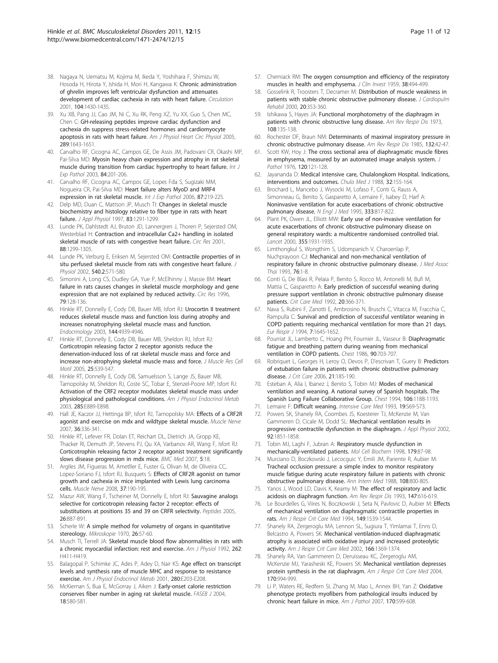- <span id="page-10-0"></span>38. Nagaya N, Uematsu M, Kojima M, Ikeda Y, Yoshihara F, Shimizu W, Hosoda H, Hirota Y, Ishida H, Mori H, Kangawa K: [Chronic administration](http://www.ncbi.nlm.nih.gov/pubmed/11560861?dopt=Abstract) [of ghrelin improves left ventricular dysfunction and attenuates](http://www.ncbi.nlm.nih.gov/pubmed/11560861?dopt=Abstract) [development of cardiac cachexia in rats with heart failure.](http://www.ncbi.nlm.nih.gov/pubmed/11560861?dopt=Abstract) Circulation 2001, 104:1430-1435.
- 39. Xu XB, Pang JJ, Cao JM, Ni C, Xu RK, Peng XZ, Yu XX, Guo S, Chen MC, Chen C: GH-releasing peptides improve cardiac dysfunction and cachexia dn suppress stress-related hormones and cardiomyocyte apoptosis in rats with heart failure. Am J Physiol Heart Circ Physiol 2005, 289:1643-1651.
- 40. Carvalho RF, Cicogna AC, Campos GE, De Assis JM, Padovani CR, Okashi MP, Pai-Silva MD: [Myosin heavy chain expression and atrophy in rat skeletal](http://www.ncbi.nlm.nih.gov/pubmed/14632634?dopt=Abstract) [muscle during transition from cardiac hypertrophy to heart failure.](http://www.ncbi.nlm.nih.gov/pubmed/14632634?dopt=Abstract) Int J Exp Pathol 2003, 84:201-206.
- 41. Carvalho RF, Cicogna AC, Campos GE, Lopes Fda S, Sugizaki MM, Nogueira CR, Pai-Silva MD: [Heart failure alters MyoD and MRF4](http://www.ncbi.nlm.nih.gov/pubmed/16709230?dopt=Abstract) [expression in rat skeletal muscle.](http://www.ncbi.nlm.nih.gov/pubmed/16709230?dopt=Abstract) Int J Exp Pathol 2006, 87:219-225.
- 42. Delp MD, Duan C, Mattson JP, Musch TI: [Changes in skeletal muscle](http://www.ncbi.nlm.nih.gov/pubmed/9338439?dopt=Abstract) [biochemistry and histology relative to fiber type in rats with heart](http://www.ncbi.nlm.nih.gov/pubmed/9338439?dopt=Abstract) [failure.](http://www.ncbi.nlm.nih.gov/pubmed/9338439?dopt=Abstract) J Appl Physiol 1997, 83:1291-1299.
- 43. Lunde PK, Dahlstedt AJ, Bruton JD, Lannergren J, Thoren P, Sejersted OM, Westerblad H: [Contraction and intracellular Ca2+ handling in isolated](http://www.ncbi.nlm.nih.gov/pubmed/11420307?dopt=Abstract) [skeletal muscle of rats with congestive heart failure.](http://www.ncbi.nlm.nih.gov/pubmed/11420307?dopt=Abstract) Circ Res 2001, 88:1299-1305.
- 44. Lunde PK, Verburg E, Eriksen M, Seiersted OM: Contractile properties of in situ perfused skeletal muscle from rats with congestive heart failure. J Physiol 2002, 540.2:571-580.
- 45. Simonini A, Long CS, Dudley GA, Yue P, McElhinny J, Massie BM: [Heart](http://www.ncbi.nlm.nih.gov/pubmed/8925560?dopt=Abstract) [failure in rats causes changes in skeletal muscle morphology and gene](http://www.ncbi.nlm.nih.gov/pubmed/8925560?dopt=Abstract) [expression that are not explained by reduced activity.](http://www.ncbi.nlm.nih.gov/pubmed/8925560?dopt=Abstract) Circ Res 1996, 79:128-136.
- 46. Hinkle RT, Donnelly E, Cody DB, Bauer MB, Isfort RJ: [Urocortin II treatment](http://www.ncbi.nlm.nih.gov/pubmed/12960070?dopt=Abstract) [reduces skeletal muscle mass and function loss during atrophy and](http://www.ncbi.nlm.nih.gov/pubmed/12960070?dopt=Abstract) [increases nonatrophying skeletal muscle mass and function.](http://www.ncbi.nlm.nih.gov/pubmed/12960070?dopt=Abstract) Endocrinology 2003, 144:4939-4946.
- 47. Hinkle RT, Donnelly E, Cody DB, Bauer MB, Sheldon RJ, Isfort RJ: Corticotropin releasing factor 2 receptor agonists reduce the denervation-induced loss of rat skeletal muscle mass and force and increase non-atrophying skeletal muscle mass and force. J Muscle Res Cell Motil 2005, 25:539-547.
- 48. Hinkle RT, Donnelly E, Cody DB, Samuelsson S, Lange JS, Bauer MB, Tarnopolsky M, Sheldon RJ, Coste SC, Tobar E, Stenzel-Poore MP, Isfort RJ: [Activation of the CRF2 receptor modulates skeletal muscle mass under](http://www.ncbi.nlm.nih.gov/pubmed/12959937?dopt=Abstract) [physiological and pathological conditions.](http://www.ncbi.nlm.nih.gov/pubmed/12959937?dopt=Abstract) Am J Physiol Endocrinol Metab 2003, 285:E889-E898.
- 49. Hall JE, Kaczor JJ, Hettinga BP, Isfort RJ, Tarnopolsky MA: [Effects of a CRF2R](http://www.ncbi.nlm.nih.gov/pubmed/17503504?dopt=Abstract) [agonist and exercise on mdx and wildtype skeletal muscle.](http://www.ncbi.nlm.nih.gov/pubmed/17503504?dopt=Abstract) Muscle Nerve 2007, 36:336-341.
- 50. Hinkle RT, Lefever FR, Dolan ET, Reichart DL, Dietrich JA, Gropp KE, Thacker RI, Demuth JP, Stevens PJ, Qu XA, Varbanov AR, Wang F, Isfort RJ: [Corticotrophin releasing factor 2 receptor agonist treatment significantly](http://www.ncbi.nlm.nih.gov/pubmed/17626629?dopt=Abstract) [slows disease progression in mdx mice.](http://www.ncbi.nlm.nih.gov/pubmed/17626629?dopt=Abstract) BMC Med 2007, 5:18.
- 51. Argiles JM, Figueras M, Ametller E, Fuster G, Olivan M, de Oliveira CC, Lopez-Soriano FJ, Isfort RJ, Busquets S: Effects [of CRF2R agonist on tumor](http://www.ncbi.nlm.nih.gov/pubmed/17912749?dopt=Abstract) [growth and cachexia in mice implanted with Lewis lung carcinoma](http://www.ncbi.nlm.nih.gov/pubmed/17912749?dopt=Abstract) [cells.](http://www.ncbi.nlm.nih.gov/pubmed/17912749?dopt=Abstract) Muscle Nerve 2008, 37:190-195.
- 52. Mazur AW, Wang F, Tscheiner M, Donnelly E, Isfort RJ: [Sauvagine analogs](http://www.ncbi.nlm.nih.gov/pubmed/15808919?dopt=Abstract) [selective for corticotropin releasing factor 2 receptor: effects of](http://www.ncbi.nlm.nih.gov/pubmed/15808919?dopt=Abstract) [substitutions at positions 35 and 39 on CRFR selectivity.](http://www.ncbi.nlm.nih.gov/pubmed/15808919?dopt=Abstract) Peptides 2005, 26:887-891.
- 53. Scherle W: [A simple method for volumetry of organs in quantitative](http://www.ncbi.nlm.nih.gov/pubmed/5530651?dopt=Abstract) [stereology.](http://www.ncbi.nlm.nih.gov/pubmed/5530651?dopt=Abstract) Mikroskopie 1970, 26:57-60.
- 54. Musch TI, Terrell JA: [Skeletal muscle blood flow abnormalities in rats with](http://www.ncbi.nlm.nih.gov/pubmed/1539701?dopt=Abstract) [a chronic myocardial infarction: rest and exercise.](http://www.ncbi.nlm.nih.gov/pubmed/1539701?dopt=Abstract) Am J Physiol 1992, 262: H411-H419.
- 55. Balagopal P, Schimke JC, Ades P, Adey D, Nair KS: [Age effect on transcript](http://www.ncbi.nlm.nih.gov/pubmed/11158921?dopt=Abstract) [levels and synthesis rate of muscle MHC and response to resistance](http://www.ncbi.nlm.nih.gov/pubmed/11158921?dopt=Abstract) [exercise.](http://www.ncbi.nlm.nih.gov/pubmed/11158921?dopt=Abstract) Am J Physiol Endocrinol Metab 2001, 280:E203-E208.
- 56. McKiernan S, Bua E, McGorray J, Aiken J: [Early-onset calorie restriction](http://www.ncbi.nlm.nih.gov/pubmed/14734642?dopt=Abstract) [conserves fiber number in aging rat skeletal muscle.](http://www.ncbi.nlm.nih.gov/pubmed/14734642?dopt=Abstract) FASEB J 2004, 18:580-581.
- 57. Cherniack RM: [The oxygen consumption and efficiency of the respiratory](http://www.ncbi.nlm.nih.gov/pubmed/13641399?dopt=Abstract) [muscles in health and emphysema.](http://www.ncbi.nlm.nih.gov/pubmed/13641399?dopt=Abstract) J Clin Invest 1959, 38:494-499.
- 58. Gosselink R, Troosters T, Decramer M: [Distribution of muscle weakness in](http://www.ncbi.nlm.nih.gov/pubmed/11144041?dopt=Abstract) [patients with stable chronic obstructive pulmonary disease.](http://www.ncbi.nlm.nih.gov/pubmed/11144041?dopt=Abstract) J Cardiopulm Rehabil 2000, 20:353-360.
- 59. Ishikawa S, Hayes JA: [Functional morphotometry of the diaphragm in](http://www.ncbi.nlm.nih.gov/pubmed/4715961?dopt=Abstract) [patients with chronic obstructive lung disease.](http://www.ncbi.nlm.nih.gov/pubmed/4715961?dopt=Abstract) Am Rev Respir Dis 1973, 108:135-138.
- Rochester DF, Braun NM: [Determinants of maximal inspiratory pressure in](http://www.ncbi.nlm.nih.gov/pubmed/4014871?dopt=Abstract) [chronic obstructive pulmonary disease.](http://www.ncbi.nlm.nih.gov/pubmed/4014871?dopt=Abstract) Am Rev Respir Dis 1985, 132:42-47.
- 61. Scott KW, Hoy J: [The cross sectional area of diaphragmatic muscle fibres](http://www.ncbi.nlm.nih.gov/pubmed/789835?dopt=Abstract) [in emphysema, measured by an automated image analysis system.](http://www.ncbi.nlm.nih.gov/pubmed/789835?dopt=Abstract) J Pathol 1976, 120:121-128.
- 62. Jayananda D: Medical intensive care, Chulalongkorn Hospital. Indications, interventions and outcomes. Chula Med J 1988, 32:155-164.
- 63. Brochard L, Mancebo J, Wysocki M, Lofaso F, Conti G, Rauss A, Simonneau G, Benito S, Gasparetto A, Lemaire F, Isabey D, Harf A: [Noninvasive ventilation for acute exacerbations of chronic obstructive](http://www.ncbi.nlm.nih.gov/pubmed/7651472?dopt=Abstract) [pulmonary disease.](http://www.ncbi.nlm.nih.gov/pubmed/7651472?dopt=Abstract) N Engl J Med 1995, 333:817-822
- 64. Plant PK, Owen JL, Elliott MW: [Early use of non-invasive ventilation for](http://www.ncbi.nlm.nih.gov/pubmed/10859037?dopt=Abstract) [acute exacerbations of chronic obstructive pulmonary disease on](http://www.ncbi.nlm.nih.gov/pubmed/10859037?dopt=Abstract) [general respiratory wards: a multicentre randomised controlled trial.](http://www.ncbi.nlm.nih.gov/pubmed/10859037?dopt=Abstract) Lancet 2000, 355:1931-1935.
- 65. Limthongkul S, Wongthim S, Udompanich V, Charoenlap P, Nuchprayoon CJ: [Mechanical and non-mechanical ventilation of](http://www.ncbi.nlm.nih.gov/pubmed/8228688?dopt=Abstract) [respiratory failure in chronic obstructive pulmonary disease.](http://www.ncbi.nlm.nih.gov/pubmed/8228688?dopt=Abstract) J Med Assoc Thai 1993, 76:1-8.
- 66. Conti G, De Blasi R, Pelaia P, Benito S, Rocco M, Antonelli M, Bufi M, Mattia C, Gasparetto A: [Early prediction of successful weaning during](http://www.ncbi.nlm.nih.gov/pubmed/1541097?dopt=Abstract) [pressure support ventilation in chronic obstructive pulmonary disease](http://www.ncbi.nlm.nih.gov/pubmed/1541097?dopt=Abstract) [patients.](http://www.ncbi.nlm.nih.gov/pubmed/1541097?dopt=Abstract) Crit Care Med 1992, 20:366-371.
- 67. Nava S, Rubini F, Zanotti E, Ambrosino N, Bruschi C, Vitacca M, Fracchia C, Rampulla C: [Survival and prediction of successful ventilator weaning in](http://www.ncbi.nlm.nih.gov/pubmed/7995395?dopt=Abstract) [COPD patients requiring mechanical ventilation for more than 21 days.](http://www.ncbi.nlm.nih.gov/pubmed/7995395?dopt=Abstract) Eur Respir J 1994, 7:1645-1652.
- 68. Pourriat JL, Lamberto C, Hoang PH, Fournier JL, Vasseur B: [Diaphragmatic](http://www.ncbi.nlm.nih.gov/pubmed/3769572?dopt=Abstract) [fatigue and breathing pattern during weaning from mechanical](http://www.ncbi.nlm.nih.gov/pubmed/3769572?dopt=Abstract) [ventilation in COPD patients.](http://www.ncbi.nlm.nih.gov/pubmed/3769572?dopt=Abstract) Chest 1986, 90:703-707.
- 69. Robriquet L, Georges H, Leroy O, Devos P, D'escrivan T, Guery B: [Predictors](http://www.ncbi.nlm.nih.gov/pubmed/16769465?dopt=Abstract) [of extubation failure in patients with chronic obstructive pulmonary](http://www.ncbi.nlm.nih.gov/pubmed/16769465?dopt=Abstract) [disease.](http://www.ncbi.nlm.nih.gov/pubmed/16769465?dopt=Abstract) J Crit Care 2006, 21:185-190.
- 70. Esteban A, Alia I, Ibanez J, Benito S, Tobin MJ: [Modes of mechanical](http://www.ncbi.nlm.nih.gov/pubmed/7924494?dopt=Abstract) [ventilation and weaning. A national survey of Spanish hospitals. The](http://www.ncbi.nlm.nih.gov/pubmed/7924494?dopt=Abstract) [Spanish Lung Failure Collaborative Group.](http://www.ncbi.nlm.nih.gov/pubmed/7924494?dopt=Abstract) Chest 1994, 106:1188-1193.
- 71. Lemaire F: [Difficult weaning.](http://www.ncbi.nlm.nih.gov/pubmed/8106681?dopt=Abstract) Intensive Care Med 1993, 19:S69-S73.
- 72. Powers SK, Shanely RA, Coombes JS, Koesterer TJ, McKenzie M, Van Gammeren D, Cicale M, Dodd SL: [Mechanical ventilation results in](http://www.ncbi.nlm.nih.gov/pubmed/11960933?dopt=Abstract) [progressive contractile dysfunction in the diaphragm.](http://www.ncbi.nlm.nih.gov/pubmed/11960933?dopt=Abstract) J Appl Physiol 2002, 92:1851-1858.
- 73. Tobin MJ, Laghi F, Jubran A: [Respiratory muscle dysfunction in](http://www.ncbi.nlm.nih.gov/pubmed/9543352?dopt=Abstract) [mechanically-ventilated patients.](http://www.ncbi.nlm.nih.gov/pubmed/9543352?dopt=Abstract) Mol Cell Biochem 1998, 179:87-98.
- 74. Murciano D, Boczkowski J, Lecocguic Y, Emili JM, Pariente R, Aubier M: [Tracheal occlusion pressure: a simple index to monitor respiratory](http://www.ncbi.nlm.nih.gov/pubmed/3369770?dopt=Abstract) [muscle fatigue during acute respiratory failure in patients with chronic](http://www.ncbi.nlm.nih.gov/pubmed/3369770?dopt=Abstract) [obstructive pulmonary disease.](http://www.ncbi.nlm.nih.gov/pubmed/3369770?dopt=Abstract) Ann Intern Med 1988, 108:800-805.
- 75. Yanos J, Wood LD, Davis K, Keamy M: [The effect of respiratory and lactic](http://www.ncbi.nlm.nih.gov/pubmed/8442595?dopt=Abstract) [acidosis on diaphragm function.](http://www.ncbi.nlm.nih.gov/pubmed/8442595?dopt=Abstract) Am Rev Respir Dis 1993, 147:616-619.
- 76. Le Bourdelles G, Viires N, Boczkowski J, Seta N, Pavlovic D, Aubier M: [Effects](http://www.ncbi.nlm.nih.gov/pubmed/8004310?dopt=Abstract) [of mechanical ventilation on diaphragmatic contractile properties in](http://www.ncbi.nlm.nih.gov/pubmed/8004310?dopt=Abstract) [rats.](http://www.ncbi.nlm.nih.gov/pubmed/8004310?dopt=Abstract) Am J Respir Crit Care Med 1994, 149:1539-1544.
- 77. Shanely RA, Zergeroglu MA, Lennon SL, Sugiura T, Yimlamai T, Enns D, Belcastro A, Powers SK: [Mechanical ventilation-induced diaphragmatic](http://www.ncbi.nlm.nih.gov/pubmed/12421745?dopt=Abstract) [atrophy is associated with oxidative injury and increased proteolytic](http://www.ncbi.nlm.nih.gov/pubmed/12421745?dopt=Abstract) [activity.](http://www.ncbi.nlm.nih.gov/pubmed/12421745?dopt=Abstract) Am J Respir Crit Care Med 2002, 166:1369-1374.
- 78. Shanely RA, Van Gammeren D, Deruisseau KC, Zergeroglu AM, McKenzie MJ, Yarasheski KE, Powers SK: Mechanical [ventilation depresses](http://www.ncbi.nlm.nih.gov/pubmed/15297271?dopt=Abstract) [protein synthesis in the rat diaphragm.](http://www.ncbi.nlm.nih.gov/pubmed/15297271?dopt=Abstract) Am J Respir Crit Care Med 2004, 170:994-999.
- 79. Li P, Waters RE, Redfern SI, Zhang M, Mao L, Annex BH, Yan Z: [Oxidative](http://www.ncbi.nlm.nih.gov/pubmed/17255328?dopt=Abstract) [phenotype protects myofibers from pathological insults induced by](http://www.ncbi.nlm.nih.gov/pubmed/17255328?dopt=Abstract) [chronic heart failure in mice.](http://www.ncbi.nlm.nih.gov/pubmed/17255328?dopt=Abstract) Am J Pathol 2007, 170:599-608.